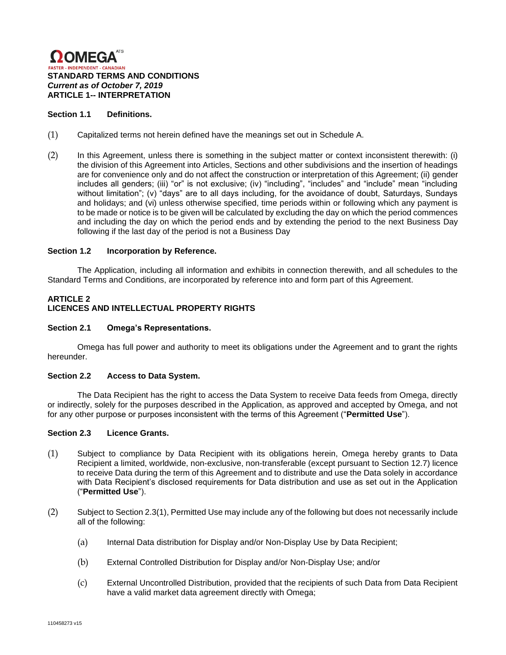

### **Section 1.1 Definitions.**

- (1) Capitalized terms not herein defined have the meanings set out in Schedule A.
- (2) In this Agreement, unless there is something in the subject matter or context inconsistent therewith: (i) the division of this Agreement into Articles, Sections and other subdivisions and the insertion of headings are for convenience only and do not affect the construction or interpretation of this Agreement; (ii) gender includes all genders; (iii) "or" is not exclusive; (iv) "including", "includes" and "include" mean "including without limitation"; (v) "days" are to all days including, for the avoidance of doubt, Saturdays, Sundays and holidays; and (vi) unless otherwise specified, time periods within or following which any payment is to be made or notice is to be given will be calculated by excluding the day on which the period commences and including the day on which the period ends and by extending the period to the next Business Day following if the last day of the period is not a Business Day

#### **Section 1.2 Incorporation by Reference.**

The Application, including all information and exhibits in connection therewith, and all schedules to the Standard Terms and Conditions, are incorporated by reference into and form part of this Agreement.

# **ARTICLE 2 LICENCES AND INTELLECTUAL PROPERTY RIGHTS**

#### **Section 2.1 Omega's Representations.**

Omega has full power and authority to meet its obligations under the Agreement and to grant the rights hereunder.

#### **Section 2.2 Access to Data System.**

The Data Recipient has the right to access the Data System to receive Data feeds from Omega, directly or indirectly, solely for the purposes described in the Application, as approved and accepted by Omega, and not for any other purpose or purposes inconsistent with the terms of this Agreement ("**Permitted Use**").

#### **Section 2.3 Licence Grants.**

- (1) Subject to compliance by Data Recipient with its obligations herein, Omega hereby grants to Data Recipient a limited, worldwide, non-exclusive, non-transferable (except pursuant to Section 12.7) licence to receive Data during the term of this Agreement and to distribute and use the Data solely in accordance with Data Recipient's disclosed requirements for Data distribution and use as set out in the Application ("**Permitted Use**").
- (2) Subject to Section 2.3(1), Permitted Use may include any of the following but does not necessarily include all of the following:
	- (a) Internal Data distribution for Display and/or Non-Display Use by Data Recipient;
	- (b) External Controlled Distribution for Display and/or Non-Display Use; and/or
	- (c) External Uncontrolled Distribution, provided that the recipients of such Data from Data Recipient have a valid market data agreement directly with Omega;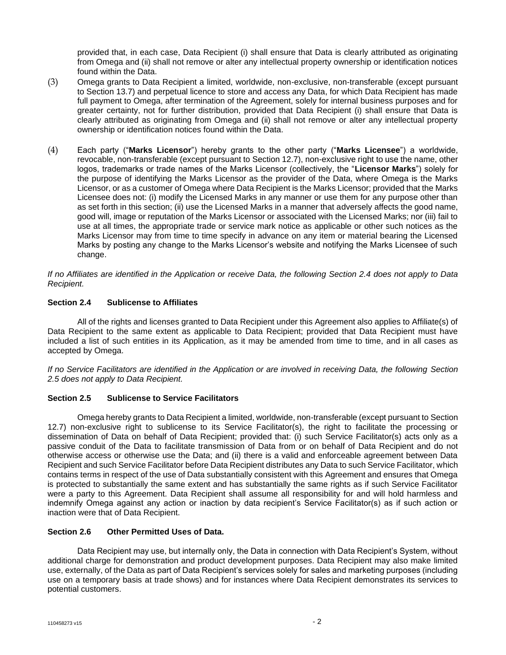provided that, in each case, Data Recipient (i) shall ensure that Data is clearly attributed as originating from Omega and (ii) shall not remove or alter any intellectual property ownership or identification notices found within the Data.

- (3) Omega grants to Data Recipient a limited, worldwide, non-exclusive, non-transferable (except pursuant to Section 13.7) and perpetual licence to store and access any Data, for which Data Recipient has made full payment to Omega, after termination of the Agreement, solely for internal business purposes and for greater certainty, not for further distribution, provided that Data Recipient (i) shall ensure that Data is clearly attributed as originating from Omega and (ii) shall not remove or alter any intellectual property ownership or identification notices found within the Data.
- (4) Each party ("**Marks Licensor**") hereby grants to the other party ("**Marks Licensee**") a worldwide, revocable, non-transferable (except pursuant to Section 12.7), non-exclusive right to use the name, other logos, trademarks or trade names of the Marks Licensor (collectively, the "**Licensor Marks**") solely for the purpose of identifying the Marks Licensor as the provider of the Data, where Omega is the Marks Licensor, or as a customer of Omega where Data Recipient is the Marks Licensor; provided that the Marks Licensee does not: (i) modify the Licensed Marks in any manner or use them for any purpose other than as set forth in this section; (ii) use the Licensed Marks in a manner that adversely affects the good name, good will, image or reputation of the Marks Licensor or associated with the Licensed Marks; nor (iii) fail to use at all times, the appropriate trade or service mark notice as applicable or other such notices as the Marks Licensor may from time to time specify in advance on any item or material bearing the Licensed Marks by posting any change to the Marks Licensor's website and notifying the Marks Licensee of such change.

*If no Affiliates are identified in the Application or receive Data, the following Section 2.4 does not apply to Data Recipient.*

# **Section 2.4 Sublicense to Affiliates**

All of the rights and licenses granted to Data Recipient under this Agreement also applies to Affiliate(s) of Data Recipient to the same extent as applicable to Data Recipient; provided that Data Recipient must have included a list of such entities in its Application, as it may be amended from time to time, and in all cases as accepted by Omega.

*If no Service Facilitators are identified in the Application or are involved in receiving Data, the following Section 2.5 does not apply to Data Recipient.*

### **Section 2.5 Sublicense to Service Facilitators**

Omega hereby grants to Data Recipient a limited, worldwide, non-transferable (except pursuant to Section 12.7) non-exclusive right to sublicense to its Service Facilitator(s), the right to facilitate the processing or dissemination of Data on behalf of Data Recipient; provided that: (i) such Service Facilitator(s) acts only as a passive conduit of the Data to facilitate transmission of Data from or on behalf of Data Recipient and do not otherwise access or otherwise use the Data; and (ii) there is a valid and enforceable agreement between Data Recipient and such Service Facilitator before Data Recipient distributes any Data to such Service Facilitator, which contains terms in respect of the use of Data substantially consistent with this Agreement and ensures that Omega is protected to substantially the same extent and has substantially the same rights as if such Service Facilitator were a party to this Agreement. Data Recipient shall assume all responsibility for and will hold harmless and indemnify Omega against any action or inaction by data recipient's Service Facilitator(s) as if such action or inaction were that of Data Recipient.

# **Section 2.6 Other Permitted Uses of Data.**

Data Recipient may use, but internally only, the Data in connection with Data Recipient's System, without additional charge for demonstration and product development purposes. Data Recipient may also make limited use, externally, of the Data as part of Data Recipient's services solely for sales and marketing purposes (including use on a temporary basis at trade shows) and for instances where Data Recipient demonstrates its services to potential customers.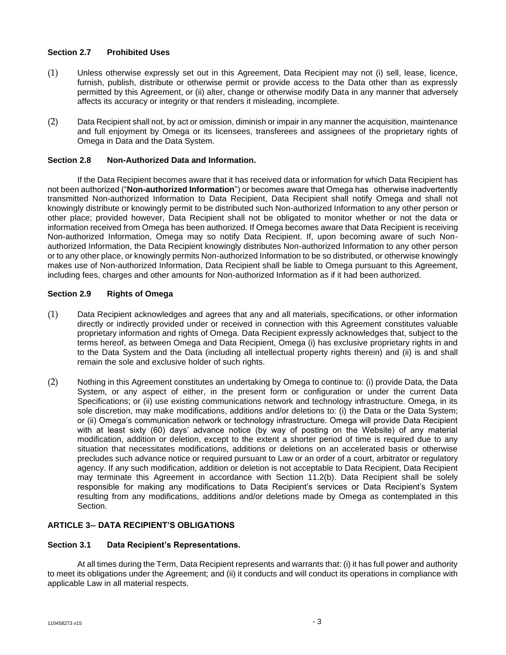## **Section 2.7 Prohibited Uses**

- (1) Unless otherwise expressly set out in this Agreement, Data Recipient may not (i) sell, lease, licence, furnish, publish, distribute or otherwise permit or provide access to the Data other than as expressly permitted by this Agreement, or (ii) alter, change or otherwise modify Data in any manner that adversely affects its accuracy or integrity or that renders it misleading, incomplete.
- (2) Data Recipient shall not, by act or omission, diminish or impair in any manner the acquisition, maintenance and full enjoyment by Omega or its licensees, transferees and assignees of the proprietary rights of Omega in Data and the Data System.

## **Section 2.8 Non-Authorized Data and Information.**

If the Data Recipient becomes aware that it has received data or information for which Data Recipient has not been authorized ("**Non-authorized Information**") or becomes aware that Omega has otherwise inadvertently transmitted Non-authorized Information to Data Recipient, Data Recipient shall notify Omega and shall not knowingly distribute or knowingly permit to be distributed such Non-authorized Information to any other person or other place; provided however, Data Recipient shall not be obligated to monitor whether or not the data or information received from Omega has been authorized. If Omega becomes aware that Data Recipient is receiving Non-authorized Information, Omega may so notify Data Recipient. If, upon becoming aware of such Nonauthorized Information, the Data Recipient knowingly distributes Non-authorized Information to any other person or to any other place, or knowingly permits Non-authorized Information to be so distributed, or otherwise knowingly makes use of Non-authorized Information, Data Recipient shall be liable to Omega pursuant to this Agreement, including fees, charges and other amounts for Non-authorized Information as if it had been authorized.

## **Section 2.9 Rights of Omega**

- (1) Data Recipient acknowledges and agrees that any and all materials, specifications, or other information directly or indirectly provided under or received in connection with this Agreement constitutes valuable proprietary information and rights of Omega. Data Recipient expressly acknowledges that, subject to the terms hereof, as between Omega and Data Recipient, Omega (i) has exclusive proprietary rights in and to the Data System and the Data (including all intellectual property rights therein) and (ii) is and shall remain the sole and exclusive holder of such rights.
- (2) Nothing in this Agreement constitutes an undertaking by Omega to continue to: (i) provide Data, the Data System, or any aspect of either, in the present form or configuration or under the current Data Specifications; or (ii) use existing communications network and technology infrastructure. Omega, in its sole discretion, may make modifications, additions and/or deletions to: (i) the Data or the Data System; or (ii) Omega's communication network or technology infrastructure. Omega will provide Data Recipient with at least sixty (60) days' advance notice (by way of posting on the Website) of any material modification, addition or deletion, except to the extent a shorter period of time is required due to any situation that necessitates modifications, additions or deletions on an accelerated basis or otherwise precludes such advance notice or required pursuant to Law or an order of a court, arbitrator or regulatory agency. If any such modification, addition or deletion is not acceptable to Data Recipient, Data Recipient may terminate this Agreement in accordance with Section 11.2(b). Data Recipient shall be solely responsible for making any modifications to Data Recipient's services or Data Recipient's System resulting from any modifications, additions and/or deletions made by Omega as contemplated in this Section.

# **ARTICLE 3-- DATA RECIPIENT'S OBLIGATIONS**

### **Section 3.1 Data Recipient's Representations.**

At all times during the Term, Data Recipient represents and warrants that: (i) it has full power and authority to meet its obligations under the Agreement; and (ii) it conducts and will conduct its operations in compliance with applicable Law in all material respects.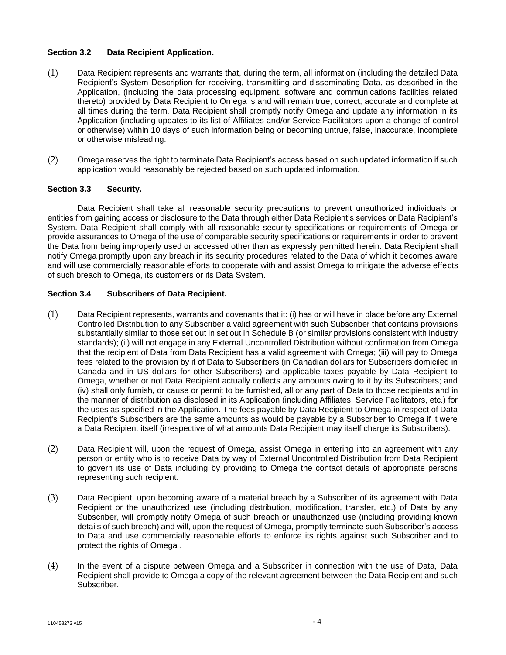### **Section 3.2 Data Recipient Application.**

- (1) Data Recipient represents and warrants that, during the term, all information (including the detailed Data Recipient's System Description for receiving, transmitting and disseminating Data, as described in the Application, (including the data processing equipment, software and communications facilities related thereto) provided by Data Recipient to Omega is and will remain true, correct, accurate and complete at all times during the term. Data Recipient shall promptly notify Omega and update any information in its Application (including updates to its list of Affiliates and/or Service Facilitators upon a change of control or otherwise) within 10 days of such information being or becoming untrue, false, inaccurate, incomplete or otherwise misleading.
- (2) Omega reserves the right to terminate Data Recipient's access based on such updated information if such application would reasonably be rejected based on such updated information.

## **Section 3.3 Security.**

Data Recipient shall take all reasonable security precautions to prevent unauthorized individuals or entities from gaining access or disclosure to the Data through either Data Recipient's services or Data Recipient's System. Data Recipient shall comply with all reasonable security specifications or requirements of Omega or provide assurances to Omega of the use of comparable security specifications or requirements in order to prevent the Data from being improperly used or accessed other than as expressly permitted herein. Data Recipient shall notify Omega promptly upon any breach in its security procedures related to the Data of which it becomes aware and will use commercially reasonable efforts to cooperate with and assist Omega to mitigate the adverse effects of such breach to Omega, its customers or its Data System.

## **Section 3.4 Subscribers of Data Recipient.**

- (1) Data Recipient represents, warrants and covenants that it: (i) has or will have in place before any External Controlled Distribution to any Subscriber a valid agreement with such Subscriber that contains provisions substantially similar to those set out in set out in Schedule B (or similar provisions consistent with industry standards); (ii) will not engage in any External Uncontrolled Distribution without confirmation from Omega that the recipient of Data from Data Recipient has a valid agreement with Omega; (iii) will pay to Omega fees related to the provision by it of Data to Subscribers (in Canadian dollars for Subscribers domiciled in Canada and in US dollars for other Subscribers) and applicable taxes payable by Data Recipient to Omega, whether or not Data Recipient actually collects any amounts owing to it by its Subscribers; and (iv) shall only furnish, or cause or permit to be furnished, all or any part of Data to those recipients and in the manner of distribution as disclosed in its Application (including Affiliates, Service Facilitators, etc.) for the uses as specified in the Application. The fees payable by Data Recipient to Omega in respect of Data Recipient's Subscribers are the same amounts as would be payable by a Subscriber to Omega if it were a Data Recipient itself (irrespective of what amounts Data Recipient may itself charge its Subscribers).
- (2) Data Recipient will, upon the request of Omega, assist Omega in entering into an agreement with any person or entity who is to receive Data by way of External Uncontrolled Distribution from Data Recipient to govern its use of Data including by providing to Omega the contact details of appropriate persons representing such recipient.
- (3) Data Recipient, upon becoming aware of a material breach by a Subscriber of its agreement with Data Recipient or the unauthorized use (including distribution, modification, transfer, etc.) of Data by any Subscriber, will promptly notify Omega of such breach or unauthorized use (including providing known details of such breach) and will, upon the request of Omega, promptly terminate such Subscriber's access to Data and use commercially reasonable efforts to enforce its rights against such Subscriber and to protect the rights of Omega .
- (4) In the event of a dispute between Omega and a Subscriber in connection with the use of Data, Data Recipient shall provide to Omega a copy of the relevant agreement between the Data Recipient and such Subscriber.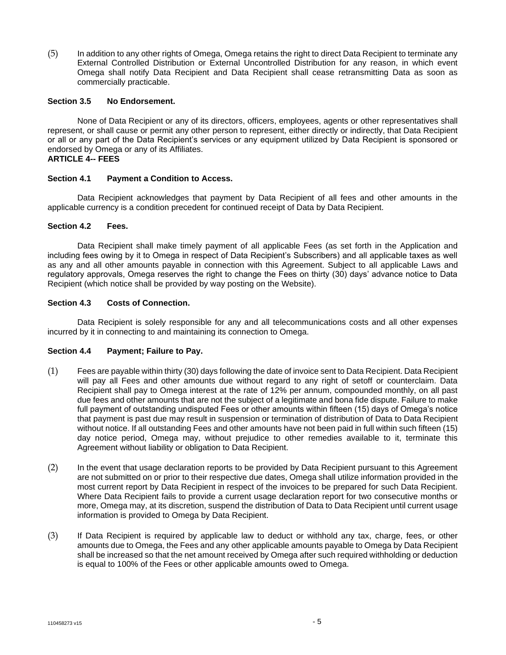(5) In addition to any other rights of Omega, Omega retains the right to direct Data Recipient to terminate any External Controlled Distribution or External Uncontrolled Distribution for any reason, in which event Omega shall notify Data Recipient and Data Recipient shall cease retransmitting Data as soon as commercially practicable.

### **Section 3.5 No Endorsement.**

None of Data Recipient or any of its directors, officers, employees, agents or other representatives shall represent, or shall cause or permit any other person to represent, either directly or indirectly, that Data Recipient or all or any part of the Data Recipient's services or any equipment utilized by Data Recipient is sponsored or endorsed by Omega or any of its Affiliates.

# **ARTICLE 4-- FEES**

### **Section 4.1 Payment a Condition to Access.**

Data Recipient acknowledges that payment by Data Recipient of all fees and other amounts in the applicable currency is a condition precedent for continued receipt of Data by Data Recipient.

### **Section 4.2 Fees.**

Data Recipient shall make timely payment of all applicable Fees (as set forth in the Application and including fees owing by it to Omega in respect of Data Recipient's Subscribers) and all applicable taxes as well as any and all other amounts payable in connection with this Agreement. Subject to all applicable Laws and regulatory approvals, Omega reserves the right to change the Fees on thirty (30) days' advance notice to Data Recipient (which notice shall be provided by way posting on the Website).

### **Section 4.3 Costs of Connection.**

Data Recipient is solely responsible for any and all telecommunications costs and all other expenses incurred by it in connecting to and maintaining its connection to Omega.

### **Section 4.4 Payment; Failure to Pay.**

- (1) Fees are payable within thirty (30) days following the date of invoice sent to Data Recipient. Data Recipient will pay all Fees and other amounts due without regard to any right of setoff or counterclaim. Data Recipient shall pay to Omega interest at the rate of 12% per annum, compounded monthly, on all past due fees and other amounts that are not the subject of a legitimate and bona fide dispute. Failure to make full payment of outstanding undisputed Fees or other amounts within fifteen (15) days of Omega's notice that payment is past due may result in suspension or termination of distribution of Data to Data Recipient without notice. If all outstanding Fees and other amounts have not been paid in full within such fifteen (15) day notice period, Omega may, without prejudice to other remedies available to it, terminate this Agreement without liability or obligation to Data Recipient.
- (2) In the event that usage declaration reports to be provided by Data Recipient pursuant to this Agreement are not submitted on or prior to their respective due dates, Omega shall utilize information provided in the most current report by Data Recipient in respect of the invoices to be prepared for such Data Recipient. Where Data Recipient fails to provide a current usage declaration report for two consecutive months or more, Omega may, at its discretion, suspend the distribution of Data to Data Recipient until current usage information is provided to Omega by Data Recipient.
- (3) If Data Recipient is required by applicable law to deduct or withhold any tax, charge, fees, or other amounts due to Omega, the Fees and any other applicable amounts payable to Omega by Data Recipient shall be increased so that the net amount received by Omega after such required withholding or deduction is equal to 100% of the Fees or other applicable amounts owed to Omega.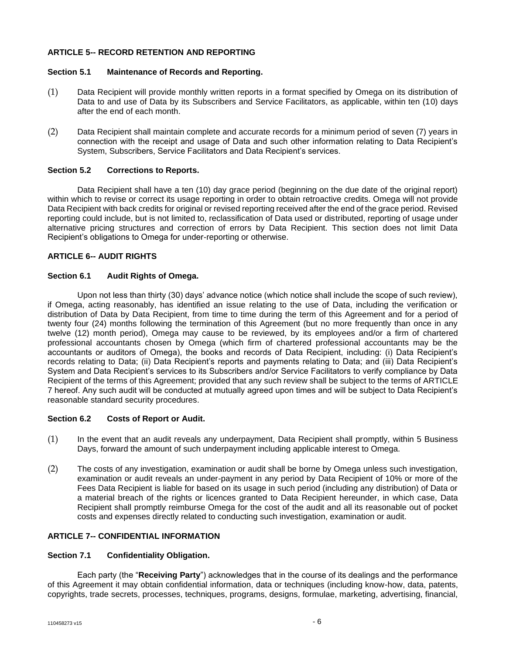# **ARTICLE 5-- RECORD RETENTION AND REPORTING**

### **Section 5.1 Maintenance of Records and Reporting.**

- (1) Data Recipient will provide monthly written reports in a format specified by Omega on its distribution of Data to and use of Data by its Subscribers and Service Facilitators, as applicable, within ten (10) days after the end of each month.
- (2) Data Recipient shall maintain complete and accurate records for a minimum period of seven (7) years in connection with the receipt and usage of Data and such other information relating to Data Recipient's System, Subscribers, Service Facilitators and Data Recipient's services.

## **Section 5.2 Corrections to Reports.**

Data Recipient shall have a ten (10) day grace period (beginning on the due date of the original report) within which to revise or correct its usage reporting in order to obtain retroactive credits. Omega will not provide Data Recipient with back credits for original or revised reporting received after the end of the grace period. Revised reporting could include, but is not limited to, reclassification of Data used or distributed, reporting of usage under alternative pricing structures and correction of errors by Data Recipient. This section does not limit Data Recipient's obligations to Omega for under-reporting or otherwise.

## **ARTICLE 6-- AUDIT RIGHTS**

## **Section 6.1 Audit Rights of Omega.**

Upon not less than thirty (30) days' advance notice (which notice shall include the scope of such review), if Omega, acting reasonably, has identified an issue relating to the use of Data, including the verification or distribution of Data by Data Recipient, from time to time during the term of this Agreement and for a period of twenty four (24) months following the termination of this Agreement (but no more frequently than once in any twelve (12) month period), Omega may cause to be reviewed, by its employees and/or a firm of chartered professional accountants chosen by Omega (which firm of chartered professional accountants may be the accountants or auditors of Omega), the books and records of Data Recipient, including: (i) Data Recipient's records relating to Data; (ii) Data Recipient's reports and payments relating to Data; and (iii) Data Recipient's System and Data Recipient's services to its Subscribers and/or Service Facilitators to verify compliance by Data Recipient of the terms of this Agreement; provided that any such review shall be subject to the terms of ARTICLE 7 hereof. Any such audit will be conducted at mutually agreed upon times and will be subject to Data Recipient's reasonable standard security procedures.

### **Section 6.2 Costs of Report or Audit.**

- (1) In the event that an audit reveals any underpayment, Data Recipient shall promptly, within 5 Business Days, forward the amount of such underpayment including applicable interest to Omega.
- (2) The costs of any investigation, examination or audit shall be borne by Omega unless such investigation, examination or audit reveals an under-payment in any period by Data Recipient of 10% or more of the Fees Data Recipient is liable for based on its usage in such period (including any distribution) of Data or a material breach of the rights or licences granted to Data Recipient hereunder, in which case, Data Recipient shall promptly reimburse Omega for the cost of the audit and all its reasonable out of pocket costs and expenses directly related to conducting such investigation, examination or audit.

### **ARTICLE 7-- CONFIDENTIAL INFORMATION**

## **Section 7.1 Confidentiality Obligation.**

Each party (the "**Receiving Party**") acknowledges that in the course of its dealings and the performance of this Agreement it may obtain confidential information, data or techniques (including know-how, data, patents, copyrights, trade secrets, processes, techniques, programs, designs, formulae, marketing, advertising, financial,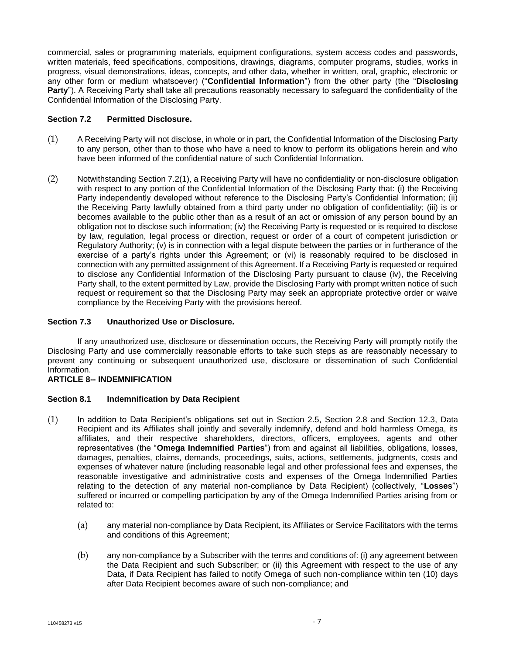commercial, sales or programming materials, equipment configurations, system access codes and passwords, written materials, feed specifications, compositions, drawings, diagrams, computer programs, studies, works in progress, visual demonstrations, ideas, concepts, and other data, whether in written, oral, graphic, electronic or any other form or medium whatsoever) ("**Confidential Information**") from the other party (the "**Disclosing Party**"). A Receiving Party shall take all precautions reasonably necessary to safeguard the confidentiality of the Confidential Information of the Disclosing Party.

## **Section 7.2 Permitted Disclosure.**

- (1) A Receiving Party will not disclose, in whole or in part, the Confidential Information of the Disclosing Party to any person, other than to those who have a need to know to perform its obligations herein and who have been informed of the confidential nature of such Confidential Information.
- (2) Notwithstanding Section 7.2(1), a Receiving Party will have no confidentiality or non-disclosure obligation with respect to any portion of the Confidential Information of the Disclosing Party that: (i) the Receiving Party independently developed without reference to the Disclosing Party's Confidential Information; (ii) the Receiving Party lawfully obtained from a third party under no obligation of confidentiality; (iii) is or becomes available to the public other than as a result of an act or omission of any person bound by an obligation not to disclose such information; (iv) the Receiving Party is requested or is required to disclose by law, regulation, legal process or direction, request or order of a court of competent jurisdiction or Regulatory Authority; (v) is in connection with a legal dispute between the parties or in furtherance of the exercise of a party's rights under this Agreement; or (vi) is reasonably required to be disclosed in connection with any permitted assignment of this Agreement. If a Receiving Party is requested or required to disclose any Confidential Information of the Disclosing Party pursuant to clause (iv), the Receiving Party shall, to the extent permitted by Law, provide the Disclosing Party with prompt written notice of such request or requirement so that the Disclosing Party may seek an appropriate protective order or waive compliance by the Receiving Party with the provisions hereof.

## **Section 7.3 Unauthorized Use or Disclosure.**

If any unauthorized use, disclosure or dissemination occurs, the Receiving Party will promptly notify the Disclosing Party and use commercially reasonable efforts to take such steps as are reasonably necessary to prevent any continuing or subsequent unauthorized use, disclosure or dissemination of such Confidential Information.

### **ARTICLE 8-- INDEMNIFICATION**

### **Section 8.1 Indemnification by Data Recipient**

- (1) In addition to Data Recipient's obligations set out in Section 2.5, Section 2.8 and Section 12.3, Data Recipient and its Affiliates shall jointly and severally indemnify, defend and hold harmless Omega, its affiliates, and their respective shareholders, directors, officers, employees, agents and other representatives (the "**Omega Indemnified Parties**") from and against all liabilities, obligations, losses, damages, penalties, claims, demands, proceedings, suits, actions, settlements, judgments, costs and expenses of whatever nature (including reasonable legal and other professional fees and expenses, the reasonable investigative and administrative costs and expenses of the Omega Indemnified Parties relating to the detection of any material non-compliance by Data Recipient) (collectively, "**Losses**") suffered or incurred or compelling participation by any of the Omega Indemnified Parties arising from or related to:
	- (a) any material non-compliance by Data Recipient, its Affiliates or Service Facilitators with the terms and conditions of this Agreement;
	- (b) any non-compliance by a Subscriber with the terms and conditions of: (i) any agreement between the Data Recipient and such Subscriber; or (ii) this Agreement with respect to the use of any Data, if Data Recipient has failed to notify Omega of such non-compliance within ten (10) days after Data Recipient becomes aware of such non-compliance; and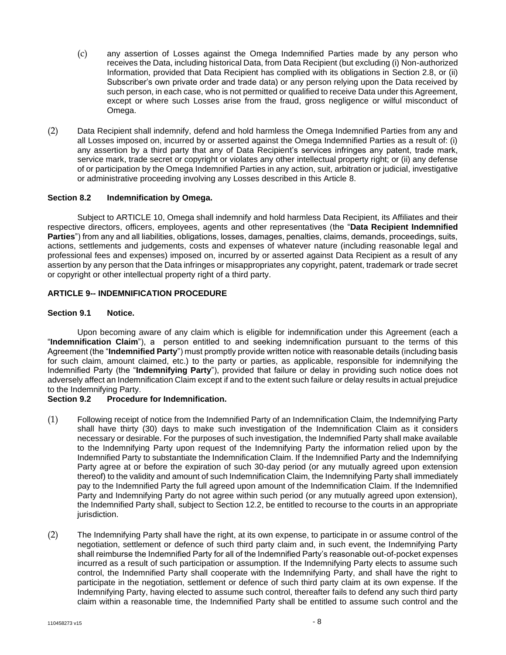- (c) any assertion of Losses against the Omega Indemnified Parties made by any person who receives the Data, including historical Data, from Data Recipient (but excluding (i) Non-authorized Information, provided that Data Recipient has complied with its obligations in Section 2.8, or (ii) Subscriber's own private order and trade data) or any person relying upon the Data received by such person, in each case, who is not permitted or qualified to receive Data under this Agreement, except or where such Losses arise from the fraud, gross negligence or wilful misconduct of Omega.
- (2) Data Recipient shall indemnify, defend and hold harmless the Omega Indemnified Parties from any and all Losses imposed on, incurred by or asserted against the Omega Indemnified Parties as a result of: (i) any assertion by a third party that any of Data Recipient's services infringes any patent, trade mark, service mark, trade secret or copyright or violates any other intellectual property right; or (ii) any defense of or participation by the Omega Indemnified Parties in any action, suit, arbitration or judicial, investigative or administrative proceeding involving any Losses described in this Article 8.

### **Section 8.2 Indemnification by Omega.**

Subject to ARTICLE 10, Omega shall indemnify and hold harmless Data Recipient, its Affiliates and their respective directors, officers, employees, agents and other representatives (the "**Data Recipient Indemnified**  Parties") from any and all liabilities, obligations, losses, damages, penalties, claims, demands, proceedings, suits, actions, settlements and judgements, costs and expenses of whatever nature (including reasonable legal and professional fees and expenses) imposed on, incurred by or asserted against Data Recipient as a result of any assertion by any person that the Data infringes or misappropriates any copyright, patent, trademark or trade secret or copyright or other intellectual property right of a third party.

## **ARTICLE 9-- INDEMNIFICATION PROCEDURE**

### **Section 9.1 Notice.**

Upon becoming aware of any claim which is eligible for indemnification under this Agreement (each a "**Indemnification Claim**"), a person entitled to and seeking indemnification pursuant to the terms of this Agreement (the "**Indemnified Party**") must promptly provide written notice with reasonable details (including basis for such claim, amount claimed, etc.) to the party or parties, as applicable, responsible for indemnifying the Indemnified Party (the "**Indemnifying Party**"), provided that failure or delay in providing such notice does not adversely affect an Indemnification Claim except if and to the extent such failure or delay results in actual prejudice to the Indemnifying Party.

# **Section 9.2 Procedure for Indemnification.**

- (1) Following receipt of notice from the Indemnified Party of an Indemnification Claim, the Indemnifying Party shall have thirty (30) days to make such investigation of the Indemnification Claim as it considers necessary or desirable. For the purposes of such investigation, the Indemnified Party shall make available to the Indemnifying Party upon request of the Indemnifying Party the information relied upon by the Indemnified Party to substantiate the Indemnification Claim. If the Indemnified Party and the Indemnifying Party agree at or before the expiration of such 30-day period (or any mutually agreed upon extension thereof) to the validity and amount of such Indemnification Claim, the Indemnifying Party shall immediately pay to the Indemnified Party the full agreed upon amount of the Indemnification Claim. If the Indemnified Party and Indemnifying Party do not agree within such period (or any mutually agreed upon extension), the Indemnified Party shall, subject to Section 12.2, be entitled to recourse to the courts in an appropriate jurisdiction.
- (2) The Indemnifying Party shall have the right, at its own expense, to participate in or assume control of the negotiation, settlement or defence of such third party claim and, in such event, the Indemnifying Party shall reimburse the Indemnified Party for all of the Indemnified Party's reasonable out-of-pocket expenses incurred as a result of such participation or assumption. If the Indemnifying Party elects to assume such control, the Indemnified Party shall cooperate with the Indemnifying Party, and shall have the right to participate in the negotiation, settlement or defence of such third party claim at its own expense. If the Indemnifying Party, having elected to assume such control, thereafter fails to defend any such third party claim within a reasonable time, the Indemnified Party shall be entitled to assume such control and the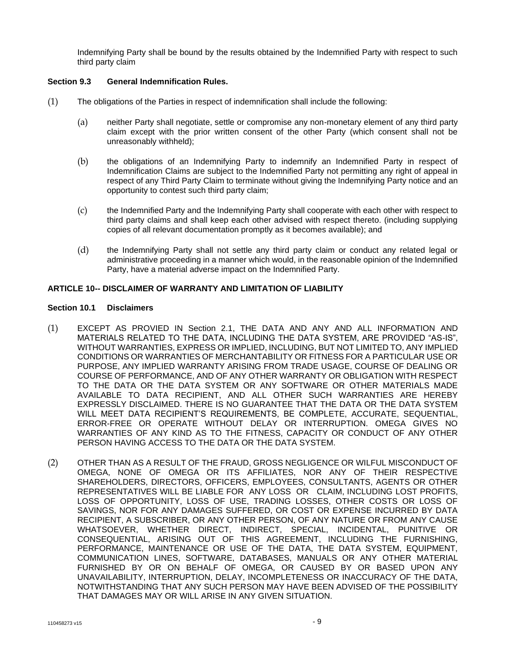Indemnifying Party shall be bound by the results obtained by the Indemnified Party with respect to such third party claim

## **Section 9.3 General Indemnification Rules.**

- (1) The obligations of the Parties in respect of indemnification shall include the following:
	- (a) neither Party shall negotiate, settle or compromise any non-monetary element of any third party claim except with the prior written consent of the other Party (which consent shall not be unreasonably withheld);
	- (b) the obligations of an Indemnifying Party to indemnify an Indemnified Party in respect of Indemnification Claims are subject to the Indemnified Party not permitting any right of appeal in respect of any Third Party Claim to terminate without giving the Indemnifying Party notice and an opportunity to contest such third party claim;
	- (c) the Indemnified Party and the Indemnifying Party shall cooperate with each other with respect to third party claims and shall keep each other advised with respect thereto. (including supplying copies of all relevant documentation promptly as it becomes available); and
	- (d) the Indemnifying Party shall not settle any third party claim or conduct any related legal or administrative proceeding in a manner which would, in the reasonable opinion of the Indemnified Party, have a material adverse impact on the Indemnified Party.

### **ARTICLE 10-- DISCLAIMER OF WARRANTY AND LIMITATION OF LIABILITY**

#### **Section 10.1 Disclaimers**

- (1) EXCEPT AS PROVIED IN Section 2.1, THE DATA AND ANY AND ALL INFORMATION AND MATERIALS RELATED TO THE DATA, INCLUDING THE DATA SYSTEM, ARE PROVIDED "AS-IS", WITHOUT WARRANTIES, EXPRESS OR IMPLIED, INCLUDING, BUT NOT LIMITED TO, ANY IMPLIED CONDITIONS OR WARRANTIES OF MERCHANTABILITY OR FITNESS FOR A PARTICULAR USE OR PURPOSE, ANY IMPLIED WARRANTY ARISING FROM TRADE USAGE, COURSE OF DEALING OR COURSE OF PERFORMANCE, AND OF ANY OTHER WARRANTY OR OBLIGATION WITH RESPECT TO THE DATA OR THE DATA SYSTEM OR ANY SOFTWARE OR OTHER MATERIALS MADE AVAILABLE TO DATA RECIPIENT, AND ALL OTHER SUCH WARRANTIES ARE HEREBY EXPRESSLY DISCLAIMED. THERE IS NO GUARANTEE THAT THE DATA OR THE DATA SYSTEM WILL MEET DATA RECIPIENT'S REQUIREMENTS, BE COMPLETE, ACCURATE, SEQUENTIAL, ERROR-FREE OR OPERATE WITHOUT DELAY OR INTERRUPTION. OMEGA GIVES NO WARRANTIES OF ANY KIND AS TO THE FITNESS, CAPACITY OR CONDUCT OF ANY OTHER PERSON HAVING ACCESS TO THE DATA OR THE DATA SYSTEM.
- (2) OTHER THAN AS A RESULT OF THE FRAUD, GROSS NEGLIGENCE OR WILFUL MISCONDUCT OF OMEGA, NONE OF OMEGA OR ITS AFFILIATES, NOR ANY OF THEIR RESPECTIVE SHAREHOLDERS, DIRECTORS, OFFICERS, EMPLOYEES, CONSULTANTS, AGENTS OR OTHER REPRESENTATIVES WILL BE LIABLE FOR ANY LOSS OR CLAIM, INCLUDING LOST PROFITS, LOSS OF OPPORTUNITY, LOSS OF USE, TRADING LOSSES, OTHER COSTS OR LOSS OF SAVINGS, NOR FOR ANY DAMAGES SUFFERED, OR COST OR EXPENSE INCURRED BY DATA RECIPIENT, A SUBSCRIBER, OR ANY OTHER PERSON, OF ANY NATURE OR FROM ANY CAUSE WHATSOEVER, WHETHER DIRECT, INDIRECT, SPECIAL, INCIDENTAL, PUNITIVE OR CONSEQUENTIAL, ARISING OUT OF THIS AGREEMENT, INCLUDING THE FURNISHING, PERFORMANCE, MAINTENANCE OR USE OF THE DATA, THE DATA SYSTEM, EQUIPMENT, COMMUNICATION LINES, SOFTWARE, DATABASES, MANUALS OR ANY OTHER MATERIAL FURNISHED BY OR ON BEHALF OF OMEGA, OR CAUSED BY OR BASED UPON ANY UNAVAILABILITY, INTERRUPTION, DELAY, INCOMPLETENESS OR INACCURACY OF THE DATA, NOTWITHSTANDING THAT ANY SUCH PERSON MAY HAVE BEEN ADVISED OF THE POSSIBILITY THAT DAMAGES MAY OR WILL ARISE IN ANY GIVEN SITUATION.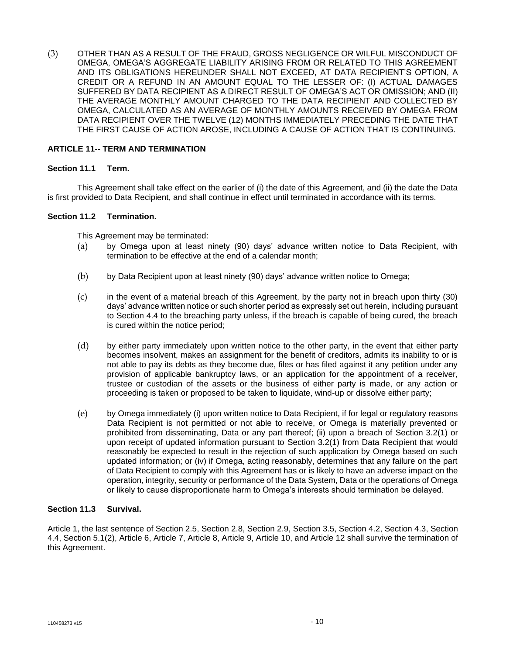(3) OTHER THAN AS A RESULT OF THE FRAUD, GROSS NEGLIGENCE OR WILFUL MISCONDUCT OF OMEGA, OMEGA'S AGGREGATE LIABILITY ARISING FROM OR RELATED TO THIS AGREEMENT AND ITS OBLIGATIONS HEREUNDER SHALL NOT EXCEED, AT DATA RECIPIENT'S OPTION, A CREDIT OR A REFUND IN AN AMOUNT EQUAL TO THE LESSER OF: (I) ACTUAL DAMAGES SUFFERED BY DATA RECIPIENT AS A DIRECT RESULT OF OMEGA'S ACT OR OMISSION; AND (II) THE AVERAGE MONTHLY AMOUNT CHARGED TO THE DATA RECIPIENT AND COLLECTED BY OMEGA, CALCULATED AS AN AVERAGE OF MONTHLY AMOUNTS RECEIVED BY OMEGA FROM DATA RECIPIENT OVER THE TWELVE (12) MONTHS IMMEDIATELY PRECEDING THE DATE THAT THE FIRST CAUSE OF ACTION AROSE, INCLUDING A CAUSE OF ACTION THAT IS CONTINUING.

### **ARTICLE 11-- TERM AND TERMINATION**

### **Section 11.1 Term.**

This Agreement shall take effect on the earlier of (i) the date of this Agreement, and (ii) the date the Data is first provided to Data Recipient, and shall continue in effect until terminated in accordance with its terms.

#### **Section 11.2 Termination.**

This Agreement may be terminated:

- (a) by Omega upon at least ninety (90) days' advance written notice to Data Recipient, with termination to be effective at the end of a calendar month;
- (b) by Data Recipient upon at least ninety (90) days' advance written notice to Omega;
- (c) in the event of a material breach of this Agreement, by the party not in breach upon thirty (30) days' advance written notice or such shorter period as expressly set out herein, including pursuant to Section 4.4 to the breaching party unless, if the breach is capable of being cured, the breach is cured within the notice period;
- (d) by either party immediately upon written notice to the other party, in the event that either party becomes insolvent, makes an assignment for the benefit of creditors, admits its inability to or is not able to pay its debts as they become due, files or has filed against it any petition under any provision of applicable bankruptcy laws, or an application for the appointment of a receiver, trustee or custodian of the assets or the business of either party is made, or any action or proceeding is taken or proposed to be taken to liquidate, wind-up or dissolve either party;
- (e) by Omega immediately (i) upon written notice to Data Recipient, if for legal or regulatory reasons Data Recipient is not permitted or not able to receive, or Omega is materially prevented or prohibited from disseminating, Data or any part thereof; (ii) upon a breach of Section 3.2(1) or upon receipt of updated information pursuant to Section 3.2(1) from Data Recipient that would reasonably be expected to result in the rejection of such application by Omega based on such updated information; or (iv) if Omega, acting reasonably, determines that any failure on the part of Data Recipient to comply with this Agreement has or is likely to have an adverse impact on the operation, integrity, security or performance of the Data System, Data or the operations of Omega or likely to cause disproportionate harm to Omega's interests should termination be delayed.

# **Section 11.3 Survival.**

Article 1, the last sentence of Section 2.5, Section 2.8, Section 2.9, Section 3.5, Section 4.2, Section 4.3, Section 4.4, Section 5.1(2), Article 6, Article 7, Article 8, Article 9, Article 10, and Article 12 shall survive the termination of this Agreement.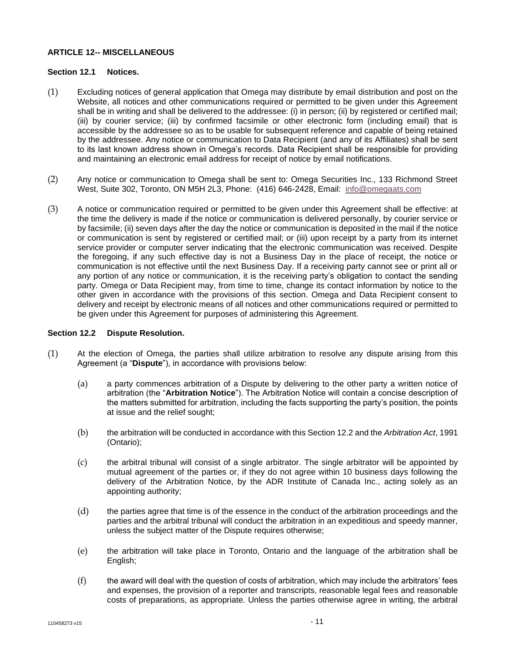## **ARTICLE 12-- MISCELLANEOUS**

### **Section 12.1 Notices.**

- (1) Excluding notices of general application that Omega may distribute by email distribution and post on the Website, all notices and other communications required or permitted to be given under this Agreement shall be in writing and shall be delivered to the addressee: (i) in person; (ii) by registered or certified mail; (iii) by courier service; (iii) by confirmed facsimile or other electronic form (including email) that is accessible by the addressee so as to be usable for subsequent reference and capable of being retained by the addressee. Any notice or communication to Data Recipient (and any of its Affiliates) shall be sent to its last known address shown in Omega's records. Data Recipient shall be responsible for providing and maintaining an electronic email address for receipt of notice by email notifications.
- (2) Any notice or communication to Omega shall be sent to: Omega Securities Inc., 133 Richmond Street West, Suite 302, Toronto, ON M5H 2L3, Phone: (416) 646-2428, Email: [info@omegaats.com](mailto:info@omegaats.com)
- (3) A notice or communication required or permitted to be given under this Agreement shall be effective: at the time the delivery is made if the notice or communication is delivered personally, by courier service or by facsimile; (ii) seven days after the day the notice or communication is deposited in the mail if the notice or communication is sent by registered or certified mail; or (iii) upon receipt by a party from its internet service provider or computer server indicating that the electronic communication was received. Despite the foregoing, if any such effective day is not a Business Day in the place of receipt, the notice or communication is not effective until the next Business Day. If a receiving party cannot see or print all or any portion of any notice or communication, it is the receiving party's obligation to contact the sending party. Omega or Data Recipient may, from time to time, change its contact information by notice to the other given in accordance with the provisions of this section. Omega and Data Recipient consent to delivery and receipt by electronic means of all notices and other communications required or permitted to be given under this Agreement for purposes of administering this Agreement.

### **Section 12.2 Dispute Resolution.**

- (1) At the election of Omega, the parties shall utilize arbitration to resolve any dispute arising from this Agreement (a "**Dispute**"), in accordance with provisions below:
	- (a) a party commences arbitration of a Dispute by delivering to the other party a written notice of arbitration (the "**Arbitration Notice**"). The Arbitration Notice will contain a concise description of the matters submitted for arbitration, including the facts supporting the party's position, the points at issue and the relief sought;
	- (b) the arbitration will be conducted in accordance with this Section 12.2 and the *Arbitration Act*, 1991 (Ontario);
	- (c) the arbitral tribunal will consist of a single arbitrator. The single arbitrator will be appointed by mutual agreement of the parties or, if they do not agree within 10 business days following the delivery of the Arbitration Notice, by the ADR Institute of Canada Inc., acting solely as an appointing authority;
	- (d) the parties agree that time is of the essence in the conduct of the arbitration proceedings and the parties and the arbitral tribunal will conduct the arbitration in an expeditious and speedy manner, unless the subject matter of the Dispute requires otherwise;
	- (e) the arbitration will take place in Toronto, Ontario and the language of the arbitration shall be English;
	- (f) the award will deal with the question of costs of arbitration, which may include the arbitrators' fees and expenses, the provision of a reporter and transcripts, reasonable legal fees and reasonable costs of preparations, as appropriate. Unless the parties otherwise agree in writing, the arbitral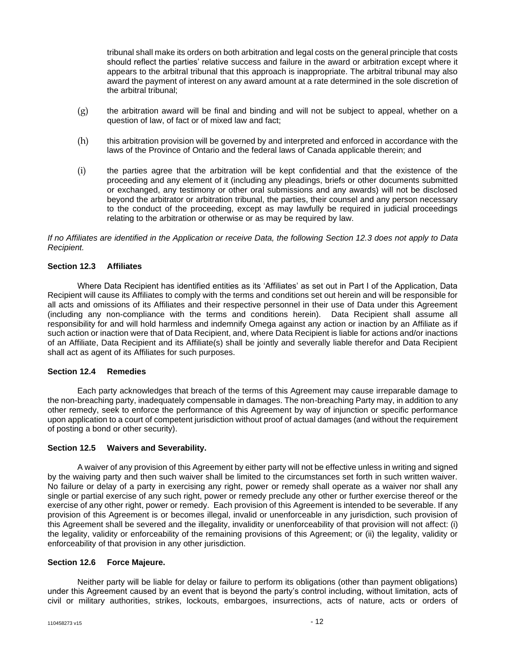tribunal shall make its orders on both arbitration and legal costs on the general principle that costs should reflect the parties' relative success and failure in the award or arbitration except where it appears to the arbitral tribunal that this approach is inappropriate. The arbitral tribunal may also award the payment of interest on any award amount at a rate determined in the sole discretion of the arbitral tribunal;

- $(g)$  the arbitration award will be final and binding and will not be subject to appeal, whether on a question of law, of fact or of mixed law and fact;
- (h) this arbitration provision will be governed by and interpreted and enforced in accordance with the laws of the Province of Ontario and the federal laws of Canada applicable therein; and
- (i) the parties agree that the arbitration will be kept confidential and that the existence of the proceeding and any element of it (including any pleadings, briefs or other documents submitted or exchanged, any testimony or other oral submissions and any awards) will not be disclosed beyond the arbitrator or arbitration tribunal, the parties, their counsel and any person necessary to the conduct of the proceeding, except as may lawfully be required in judicial proceedings relating to the arbitration or otherwise or as may be required by law.

*If no Affiliates are identified in the Application or receive Data, the following Section 12.3 does not apply to Data Recipient.*

### **Section 12.3 Affiliates**

Where Data Recipient has identified entities as its 'Affiliates' as set out in Part I of the Application, Data Recipient will cause its Affiliates to comply with the terms and conditions set out herein and will be responsible for all acts and omissions of its Affiliates and their respective personnel in their use of Data under this Agreement (including any non-compliance with the terms and conditions herein). Data Recipient shall assume all responsibility for and will hold harmless and indemnify Omega against any action or inaction by an Affiliate as if such action or inaction were that of Data Recipient, and, where Data Recipient is liable for actions and/or inactions of an Affiliate, Data Recipient and its Affiliate(s) shall be jointly and severally liable therefor and Data Recipient shall act as agent of its Affiliates for such purposes.

#### **Section 12.4 Remedies**

Each party acknowledges that breach of the terms of this Agreement may cause irreparable damage to the non-breaching party, inadequately compensable in damages. The non-breaching Party may, in addition to any other remedy, seek to enforce the performance of this Agreement by way of injunction or specific performance upon application to a court of competent jurisdiction without proof of actual damages (and without the requirement of posting a bond or other security).

### **Section 12.5 Waivers and Severability.**

A waiver of any provision of this Agreement by either party will not be effective unless in writing and signed by the waiving party and then such waiver shall be limited to the circumstances set forth in such written waiver. No failure or delay of a party in exercising any right, power or remedy shall operate as a waiver nor shall any single or partial exercise of any such right, power or remedy preclude any other or further exercise thereof or the exercise of any other right, power or remedy. Each provision of this Agreement is intended to be severable. If any provision of this Agreement is or becomes illegal, invalid or unenforceable in any jurisdiction, such provision of this Agreement shall be severed and the illegality, invalidity or unenforceability of that provision will not affect: (i) the legality, validity or enforceability of the remaining provisions of this Agreement; or (ii) the legality, validity or enforceability of that provision in any other jurisdiction.

# **Section 12.6 Force Majeure.**

Neither party will be liable for delay or failure to perform its obligations (other than payment obligations) under this Agreement caused by an event that is beyond the party's control including, without limitation, acts of civil or military authorities, strikes, lockouts, embargoes, insurrections, acts of nature, acts or orders of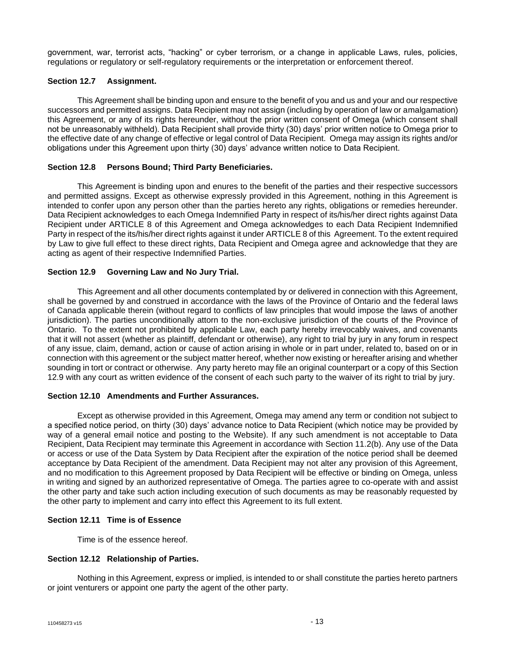government, war, terrorist acts, "hacking" or cyber terrorism, or a change in applicable Laws, rules, policies, regulations or regulatory or self-regulatory requirements or the interpretation or enforcement thereof.

### **Section 12.7 Assignment.**

This Agreement shall be binding upon and ensure to the benefit of you and us and your and our respective successors and permitted assigns. Data Recipient may not assign (including by operation of law or amalgamation) this Agreement, or any of its rights hereunder, without the prior written consent of Omega (which consent shall not be unreasonably withheld). Data Recipient shall provide thirty (30) days' prior written notice to Omega prior to the effective date of any change of effective or legal control of Data Recipient. Omega may assign its rights and/or obligations under this Agreement upon thirty (30) days' advance written notice to Data Recipient.

## **Section 12.8 Persons Bound; Third Party Beneficiaries.**

This Agreement is binding upon and enures to the benefit of the parties and their respective successors and permitted assigns. Except as otherwise expressly provided in this Agreement, nothing in this Agreement is intended to confer upon any person other than the parties hereto any rights, obligations or remedies hereunder. Data Recipient acknowledges to each Omega Indemnified Party in respect of its/his/her direct rights against Data Recipient under ARTICLE 8 of this Agreement and Omega acknowledges to each Data Recipient Indemnified Party in respect of the its/his/her direct rights against it under ARTICLE 8 of this Agreement. To the extent required by Law to give full effect to these direct rights, Data Recipient and Omega agree and acknowledge that they are acting as agent of their respective Indemnified Parties.

## **Section 12.9 Governing Law and No Jury Trial.**

This Agreement and all other documents contemplated by or delivered in connection with this Agreement, shall be governed by and construed in accordance with the laws of the Province of Ontario and the federal laws of Canada applicable therein (without regard to conflicts of law principles that would impose the laws of another jurisdiction). The parties unconditionally attorn to the non-exclusive jurisdiction of the courts of the Province of Ontario. To the extent not prohibited by applicable Law, each party hereby irrevocably waives, and covenants that it will not assert (whether as plaintiff, defendant or otherwise), any right to trial by jury in any forum in respect of any issue, claim, demand, action or cause of action arising in whole or in part under, related to, based on or in connection with this agreement or the subject matter hereof, whether now existing or hereafter arising and whether sounding in tort or contract or otherwise. Any party hereto may file an original counterpart or a copy of this Section 12.9 with any court as written evidence of the consent of each such party to the waiver of its right to trial by jury.

# **Section 12.10 Amendments and Further Assurances.**

Except as otherwise provided in this Agreement, Omega may amend any term or condition not subject to a specified notice period, on thirty (30) days' advance notice to Data Recipient (which notice may be provided by way of a general email notice and posting to the Website). If any such amendment is not acceptable to Data Recipient, Data Recipient may terminate this Agreement in accordance with Section 11.2(b). Any use of the Data or access or use of the Data System by Data Recipient after the expiration of the notice period shall be deemed acceptance by Data Recipient of the amendment. Data Recipient may not alter any provision of this Agreement, and no modification to this Agreement proposed by Data Recipient will be effective or binding on Omega, unless in writing and signed by an authorized representative of Omega. The parties agree to co-operate with and assist the other party and take such action including execution of such documents as may be reasonably requested by the other party to implement and carry into effect this Agreement to its full extent.

### **Section 12.11 Time is of Essence**

Time is of the essence hereof.

### **Section 12.12 Relationship of Parties.**

Nothing in this Agreement, express or implied, is intended to or shall constitute the parties hereto partners or joint venturers or appoint one party the agent of the other party.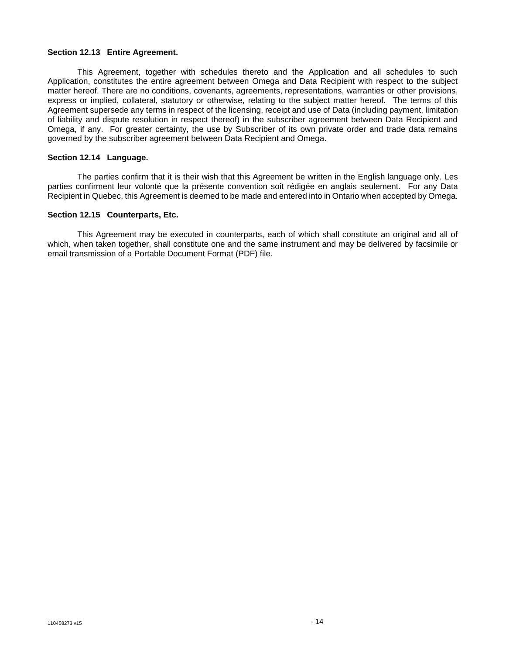#### **Section 12.13 Entire Agreement.**

This Agreement, together with schedules thereto and the Application and all schedules to such Application, constitutes the entire agreement between Omega and Data Recipient with respect to the subject matter hereof. There are no conditions, covenants, agreements, representations, warranties or other provisions, express or implied, collateral, statutory or otherwise, relating to the subject matter hereof. The terms of this Agreement supersede any terms in respect of the licensing, receipt and use of Data (including payment, limitation of liability and dispute resolution in respect thereof) in the subscriber agreement between Data Recipient and Omega, if any. For greater certainty, the use by Subscriber of its own private order and trade data remains governed by the subscriber agreement between Data Recipient and Omega.

#### **Section 12.14 Language.**

The parties confirm that it is their wish that this Agreement be written in the English language only. Les parties confirment leur volonté que la présente convention soit rédigée en anglais seulement. For any Data Recipient in Quebec, this Agreement is deemed to be made and entered into in Ontario when accepted by Omega.

#### **Section 12.15 Counterparts, Etc.**

This Agreement may be executed in counterparts, each of which shall constitute an original and all of which, when taken together, shall constitute one and the same instrument and may be delivered by facsimile or email transmission of a Portable Document Format (PDF) file.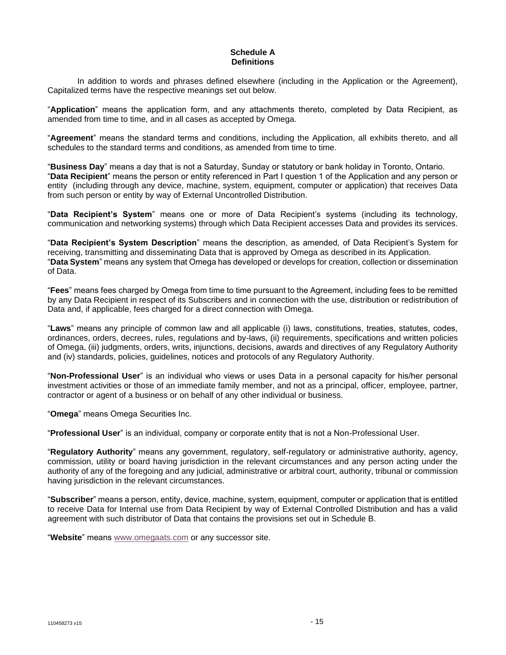# **Schedule A Definitions**

In addition to words and phrases defined elsewhere (including in the Application or the Agreement), Capitalized terms have the respective meanings set out below.

"**Application**" means the application form, and any attachments thereto, completed by Data Recipient, as amended from time to time, and in all cases as accepted by Omega.

"**Agreement**" means the standard terms and conditions, including the Application, all exhibits thereto, and all schedules to the standard terms and conditions, as amended from time to time.

"**Business Day**" means a day that is not a Saturday, Sunday or statutory or bank holiday in Toronto, Ontario. "**Data Recipient**" means the person or entity referenced in Part I question 1 of the Application and any person or entity (including through any device, machine, system, equipment, computer or application) that receives Data from such person or entity by way of External Uncontrolled Distribution.

"**Data Recipient's System**" means one or more of Data Recipient's systems (including its technology, communication and networking systems) through which Data Recipient accesses Data and provides its services.

"**Data Recipient's System Description**" means the description, as amended, of Data Recipient's System for receiving, transmitting and disseminating Data that is approved by Omega as described in its Application. "**Data System**" means any system that Omega has developed or develops for creation, collection or dissemination of Data.

"**Fees**" means fees charged by Omega from time to time pursuant to the Agreement, including fees to be remitted by any Data Recipient in respect of its Subscribers and in connection with the use, distribution or redistribution of Data and, if applicable, fees charged for a direct connection with Omega.

"**Laws**" means any principle of common law and all applicable (i) laws, constitutions, treaties, statutes, codes, ordinances, orders, decrees, rules, regulations and by-laws, (ii) requirements, specifications and written policies of Omega, (iii) judgments, orders, writs, injunctions, decisions, awards and directives of any Regulatory Authority and (iv) standards, policies, guidelines, notices and protocols of any Regulatory Authority.

"**Non-Professional User**" is an individual who views or uses Data in a personal capacity for his/her personal investment activities or those of an immediate family member, and not as a principal, officer, employee, partner, contractor or agent of a business or on behalf of any other individual or business.

"**Omega**" means Omega Securities Inc.

"**Professional User**" is an individual, company or corporate entity that is not a Non-Professional User.

"**Regulatory Authority**" means any government, regulatory, self-regulatory or administrative authority, agency, commission, utility or board having jurisdiction in the relevant circumstances and any person acting under the authority of any of the foregoing and any judicial, administrative or arbitral court, authority, tribunal or commission having jurisdiction in the relevant circumstances.

"**Subscriber**" means a person, entity, device, machine, system, equipment, computer or application that is entitled to receive Data for Internal use from Data Recipient by way of External Controlled Distribution and has a valid agreement with such distributor of Data that contains the provisions set out in Schedule B.

"**Website**" means [www.omegaats.com](http://www.omegaats.com/) or any successor site.